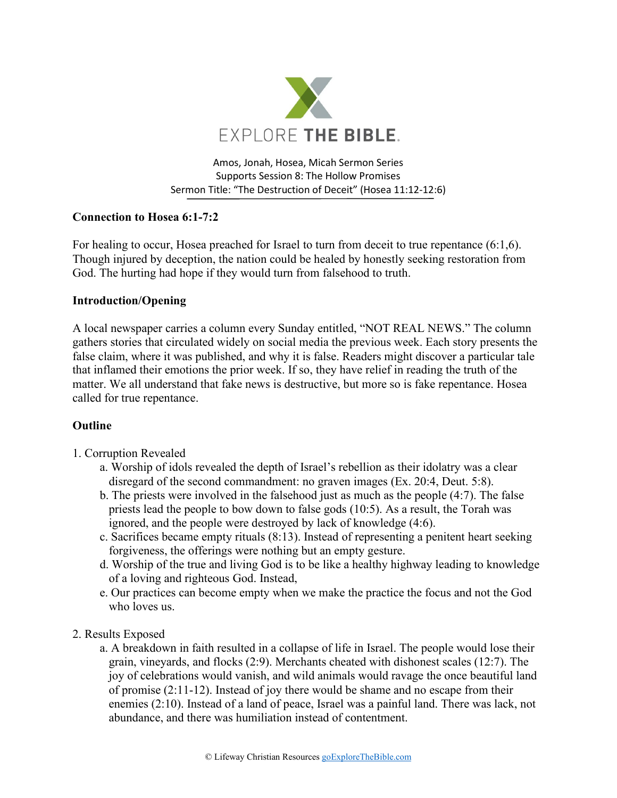

Amos, Jonah, Hosea, Micah Sermon Series Supports Session 8: The Hollow Promises Sermon Title: "The Destruction of Deceit" (Hosea 11:12-12:6)

## **Connection to Hosea 6:1-7:2**

For healing to occur, Hosea preached for Israel to turn from deceit to true repentance (6:1,6). Though injured by deception, the nation could be healed by honestly seeking restoration from God. The hurting had hope if they would turn from falsehood to truth.

## **Introduction/Opening**

A local newspaper carries a column every Sunday entitled, "NOT REAL NEWS." The column gathers stories that circulated widely on social media the previous week. Each story presents the false claim, where it was published, and why it is false. Readers might discover a particular tale that inflamed their emotions the prior week. If so, they have relief in reading the truth of the matter. We all understand that fake news is destructive, but more so is fake repentance. Hosea called for true repentance.

## **Outline**

- 1. Corruption Revealed
	- a. Worship of idols revealed the depth of Israel's rebellion as their idolatry was a clear disregard of the second commandment: no graven images (Ex. 20:4, Deut. 5:8).
	- b. The priests were involved in the falsehood just as much as the people (4:7). The false priests lead the people to bow down to false gods (10:5). As a result, the Torah was ignored, and the people were destroyed by lack of knowledge (4:6).
	- c. Sacrifices became empty rituals (8:13). Instead of representing a penitent heart seeking forgiveness, the offerings were nothing but an empty gesture.
	- d. Worship of the true and living God is to be like a healthy highway leading to knowledge of a loving and righteous God. Instead,
	- e. Our practices can become empty when we make the practice the focus and not the God who loves us.
- 2. Results Exposed
	- a. A breakdown in faith resulted in a collapse of life in Israel. The people would lose their grain, vineyards, and flocks (2:9). Merchants cheated with dishonest scales (12:7). The joy of celebrations would vanish, and wild animals would ravage the once beautiful land of promise (2:11-12). Instead of joy there would be shame and no escape from their enemies (2:10). Instead of a land of peace, Israel was a painful land. There was lack, not abundance, and there was humiliation instead of contentment.